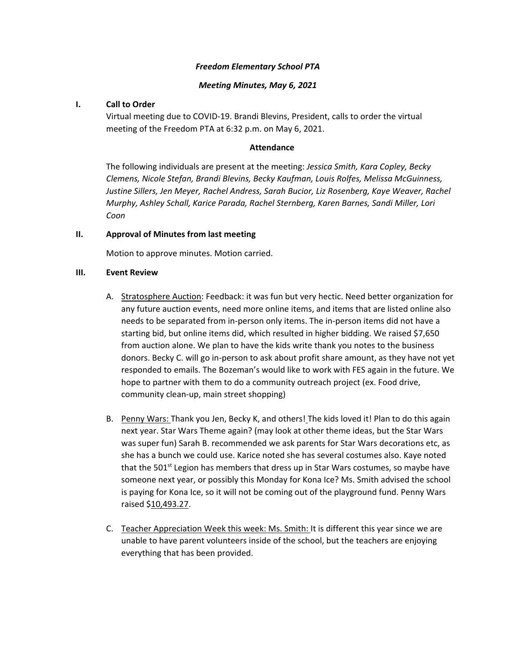### *Freedom Elementary School PTA*

### *Meeting Minutes, May 6, 2021*

### **I. Call to Order**

Virtual meeting due to COVID-19. Brandi Blevins, President, calls to order the virtual meeting of the Freedom PTA at 6:32 p.m. on May 6, 2021.

#### **Attendance**

The following individuals are present at the meeting: *Jessica Smith, Kara Copley, Becky Clemens, Nicole Stefan, Brandi Blevins, Becky Kaufman, Louis Rolfes, Melissa McGuinness, Justine Sillers, Jen Meyer, Rachel Andress, Sarah Bucior, Liz Rosenberg, Kaye Weaver, Rachel Murphy, Ashley Schall, Karice Parada, Rachel Sternberg, Karen Barnes, Sandi Miller, Lori Coon* 

#### **II. Approval of Minutes from last meeting**

Motion to approve minutes. Motion carried.

#### **III. Event Review**

- A. Stratosphere Auction: Feedback: it was fun but very hectic. Need better organization for any future auction events, need more online items, and items that are listed online also needs to be separated from in-person only items. The in-person items did not have a starting bid, but online items did, which resulted in higher bidding. We raised \$7,650 from auction alone. We plan to have the kids write thank you notes to the business donors. Becky C. will go in-person to ask about profit share amount, as they have not yet responded to emails. The Bozeman's would like to work with FES again in the future. We hope to partner with them to do a community outreach project (ex. Food drive, community clean-up, main street shopping)
- B. Penny Wars: Thank you Jen, Becky K, and others! The kids loved it! Plan to do this again next year. Star Wars Theme again? (may look at other theme ideas, but the Star Wars was super fun) Sarah B. recommended we ask parents for Star Wars decorations etc, as she has a bunch we could use. Karice noted she has several costumes also. Kaye noted that the 501<sup>st</sup> Legion has members that dress up in Star Wars costumes, so maybe have someone next year, or possibly this Monday for Kona Ice? Ms. Smith advised the school is paying for Kona Ice, so it will not be coming out of the playground fund. Penny Wars raised \$10,493.27.
- C. Teacher Appreciation Week this week: Ms. Smith: It is different this year since we are unable to have parent volunteers inside of the school, but the teachers are enjoying everything that has been provided.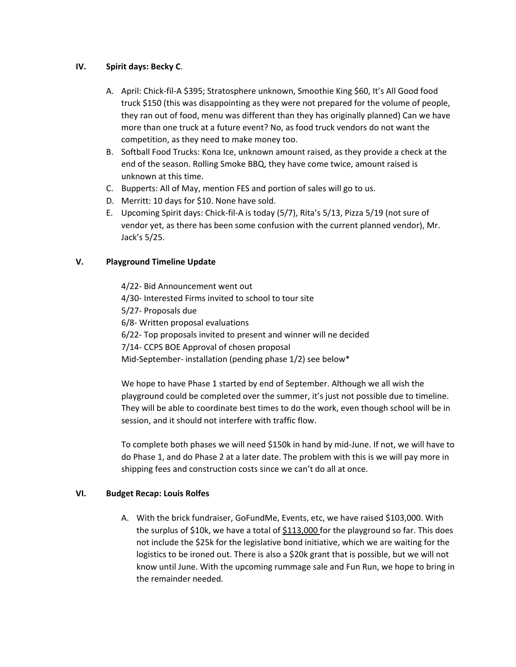### **IV. Spirit days: Becky C**.

- A. April: Chick-fil-A \$395; Stratosphere unknown, Smoothie King \$60, It's All Good food truck \$150 (this was disappointing as they were not prepared for the volume of people, they ran out of food, menu was different than they has originally planned) Can we have more than one truck at a future event? No, as food truck vendors do not want the competition, as they need to make money too.
- B. Softball Food Trucks: Kona Ice, unknown amount raised, as they provide a check at the end of the season. Rolling Smoke BBQ, they have come twice, amount raised is unknown at this time.
- C. Bupperts: All of May, mention FES and portion of sales will go to us.
- D. Merritt: 10 days for \$10. None have sold.
- E. Upcoming Spirit days: Chick-fil-A is today (5/7), Rita's 5/13, Pizza 5/19 (not sure of vendor yet, as there has been some confusion with the current planned vendor), Mr. Jack's 5/25.

## **V. Playground Timeline Update**

4/22- Bid Announcement went out 4/30- Interested Firms invited to school to tour site 5/27- Proposals due 6/8- Written proposal evaluations 6/22- Top proposals invited to present and winner will ne decided 7/14- CCPS BOE Approval of chosen proposal Mid-September- installation (pending phase 1/2) see below\*

We hope to have Phase 1 started by end of September. Although we all wish the playground could be completed over the summer, it's just not possible due to timeline. They will be able to coordinate best times to do the work, even though school will be in session, and it should not interfere with traffic flow.

To complete both phases we will need \$150k in hand by mid-June. If not, we will have to do Phase 1, and do Phase 2 at a later date. The problem with this is we will pay more in shipping fees and construction costs since we can't do all at once.

### **VI. Budget Recap: Louis Rolfes**

A. With the brick fundraiser, GoFundMe, Events, etc, we have raised \$103,000. With the surplus of \$10k, we have a total of \$113,000 for the playground so far. This does not include the \$25k for the legislative bond initiative, which we are waiting for the logistics to be ironed out. There is also a \$20k grant that is possible, but we will not know until June. With the upcoming rummage sale and Fun Run, we hope to bring in the remainder needed.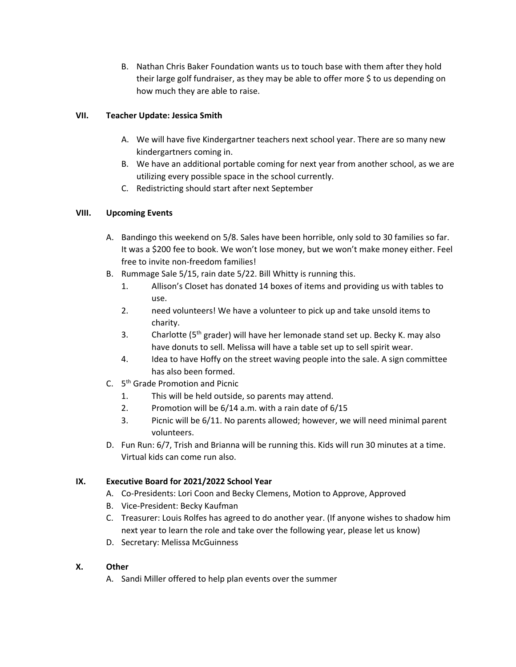B. Nathan Chris Baker Foundation wants us to touch base with them after they hold their large golf fundraiser, as they may be able to offer more \$ to us depending on how much they are able to raise.

## **VII. Teacher Update: Jessica Smith**

- A. We will have five Kindergartner teachers next school year. There are so many new kindergartners coming in.
- B. We have an additional portable coming for next year from another school, as we are utilizing every possible space in the school currently.
- C. Redistricting should start after next September

## **VIII. Upcoming Events**

- A. Bandingo this weekend on 5/8. Sales have been horrible, only sold to 30 families so far. It was a \$200 fee to book. We won't lose money, but we won't make money either. Feel free to invite non-freedom families!
- B. Rummage Sale 5/15, rain date 5/22. Bill Whitty is running this.
	- 1. Allison's Closet has donated 14 boxes of items and providing us with tables to use.
	- 2. need volunteers! We have a volunteer to pick up and take unsold items to charity.
	- 3. Charlotte ( $5<sup>th</sup>$  grader) will have her lemonade stand set up. Becky K. may also have donuts to sell. Melissa will have a table set up to sell spirit wear.
	- 4. Idea to have Hoffy on the street waving people into the sale. A sign committee has also been formed.
- C. 5th Grade Promotion and Picnic
	- 1. This will be held outside, so parents may attend.
	- 2. Promotion will be 6/14 a.m. with a rain date of 6/15
	- 3. Picnic will be 6/11. No parents allowed; however, we will need minimal parent volunteers.
- D. Fun Run: 6/7, Trish and Brianna will be running this. Kids will run 30 minutes at a time. Virtual kids can come run also.

# **IX. Executive Board for 2021/2022 School Year**

- A. Co-Presidents: Lori Coon and Becky Clemens, Motion to Approve, Approved
- B. Vice-President: Becky Kaufman
- C. Treasurer: Louis Rolfes has agreed to do another year. (If anyone wishes to shadow him next year to learn the role and take over the following year, please let us know)
- D. Secretary: Melissa McGuinness

# **X. Other**

A. Sandi Miller offered to help plan events over the summer